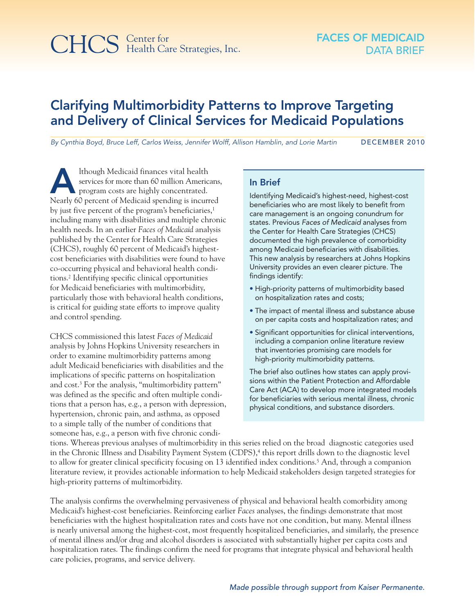# CHCS Center for Health Care Strategies, Inc.

## Clarifying Multimorbidity Patterns to Improve Targeting and Delivery of Clinical Services for Medicaid Populations

By Cynthia Boyd, Bruce Leff, Carlos Weiss, Jennifer Wolff, Allison Hamblin, and Lorie Martin DECEMBER 2010

Ithough Medicaid finances vital health<br>services for more than 60 million America<br>program costs are highly concentrated.<br>Nearly 60 percent of Medicaid spending is incurr services for more than 60 million Americans, program costs are highly concentrated. Nearly 60 percent of Medicaid spending is incurred by just five percent of the program's beneficiaries,<sup>1</sup> including many with disabilities and multiple chronic health needs. In an earlier *Faces of Medicaid* analysis published by the Center for Health Care Strategies (CHCS), roughly 60 percent of Medicaid's highestcost beneficiaries with disabilities were found to have co-occurring physical and behavioral health conditions.2 Identifying specific clinical opportunities for Medicaid beneficiaries with multimorbidity, particularly those with behavioral health conditions, is critical for guiding state efforts to improve quality and control spending.

CHCS commissioned this latest *Faces of Medicaid* analysis by Johns Hopkins University researchers in order to examine multimorbidity patterns among adult Medicaid beneficiaries with disabilities and the implications of specific patterns on hospitalization and cost.3 For the analysis, "multimorbidity pattern" was defined as the specific and often multiple conditions that a person has, e.g., a person with depression, hypertension, chronic pain, and asthma, as opposed to a simple tally of the number of conditions that someone has, e.g., a person with five chronic condi-

## In Brief

Identifying Medicaid's highest-need, highest-cost beneficiaries who are most likely to benefit from care management is an ongoing conundrum for states. Previous Faces of Medicaid analyses from the Center for Health Care Strategies (CHCS) documented the high prevalence of comorbidity among Medicaid beneficiaries with disabilities. This new analysis by researchers at Johns Hopkins University provides an even clearer picture. The findings identify:

- High-priority patterns of multimorbidity based on hospitalization rates and costs;
- The impact of mental illness and substance abuse on per capita costs and hospitalization rates; and
- Significant opportunities for clinical interventions, including a companion online literature review that inventories promising care models for high-priority multimorbidity patterns.

The brief also outlines how states can apply provisions within the Patient Protection and Affordable Care Act (ACA) to develop more integrated models for beneficiaries with serious mental illness, chronic physical conditions, and substance disorders.

tions. Whereas previous analyses of multimorbidity in this series relied on the broad diagnostic categories used in the Chronic Illness and Disability Payment System (CDPS),<sup>4</sup> this report drills down to the diagnostic level to allow for greater clinical specificity focusing on 13 identified index conditions.<sup>5</sup> And, through a companion literature review, it provides actionable information to help Medicaid stakeholders design targeted strategies for high-priority patterns of multimorbidity.

The analysis confirms the overwhelming pervasiveness of physical and behavioral health comorbidity among Medicaid's highest-cost beneficiaries. Reinforcing earlier *Faces* analyses, the findings demonstrate that most beneficiaries with the highest hospitalization rates and costs have not one condition, but many. Mental illness is nearly universal among the highest-cost, most frequently hospitalized beneficiaries, and similarly, the presence of mental illness and/or drug and alcohol disorders is associated with substantially higher per capita costs and hospitalization rates. The findings confirm the need for programs that integrate physical and behavioral health care policies, programs, and service delivery.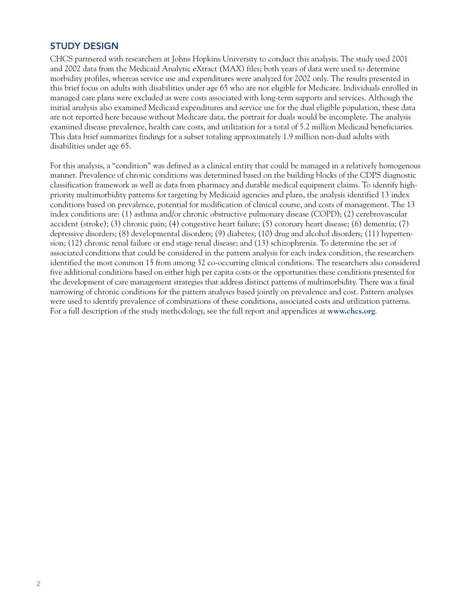## STUDY DESIGN

CHCS partnered with researchers at Johns Hopkins University to conduct this analysis. The study used 2001 and 2002 data from the Medicaid Analytic eXtract (MAX) files; both years of data were used to determine morbidity profiles, whereas service use and expenditures were analyzed for 2002 only. The results presented in this brief focus on adults with disabilities under age 65 who are not eligible for Medicare. Individuals enrolled in managed care plans were excluded as were costs associated with long-term supports and services. Although the initial analysis also examined Medicaid expenditures and service use for the dual eligible population, these data are not reported here because without Medicare data, the portrait for duals would be incomplete. The analysis examined disease prevalence, health care costs, and utilization for a total of 5.2 million Medicaid beneficiaries. This data brief summarizes findings for a subset totaling approximately 1.9 million non-dual adults with disabilities under age 65.

For this analysis, a "condition" was defined as a clinical entity that could be managed in a relatively homogenous manner. Prevalence of chronic conditions was determined based on the building blocks of the CDPS diagnostic classification framework as well as data from pharmacy and durable medical equipment claims. To identify highpriority multimorbidity patterns for targeting by Medicaid agencies and plans, the analysis identified 13 index conditions based on prevalence, potential for modification of clinical course, and costs of management. The 13 index conditions are: (1) asthma and/or chronic obstructive pulmonary disease (COPD); (2) cerebrovascular accident (stroke); (3) chronic pain; (4) congestive heart failure; (5) coronary heart disease; (6) dementia; (7) depressive disorders; (8) developmental disorders; (9) diabetes; (10) drug and alcohol disorders; (11) hypertension; (12) chronic renal failure or end stage renal disease; and (13) schizophrenia. To determine the set of associated conditions that could be considered in the pattern analysis for each index condition, the researchers identified the most common 15 from among 32 co-occurring clinical conditions. The researchers also considered five additional conditions based on either high per capita costs or the opportunities these conditions presented for the development of care management strategies that address distinct patterns of multimorbidity. There was a final narrowing of chronic conditions for the pattern analyses based jointly on prevalence and cost. Pattern analyses were used to identify prevalence of combinations of these conditions, associated costs and utilization patterns. For a full description of the study methodology, see the full report and appendices at **www.chcs.org**.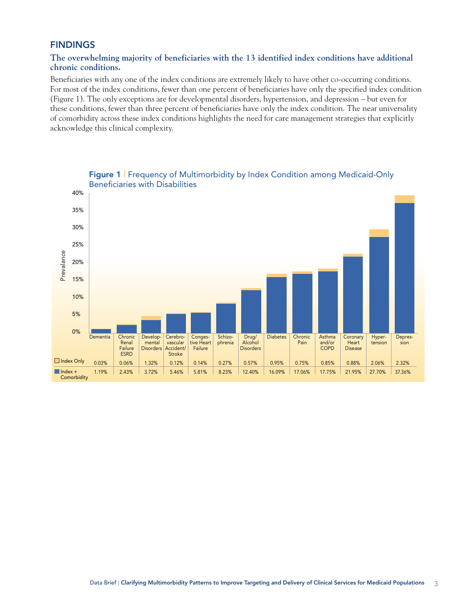## FINDINGS

## **The overwhelming majority of beneficiaries with the 13 identified index conditions have additional chronic conditions.**

Beneficiaries with any one of the index conditions are extremely likely to have other co-occurring conditions. For most of the index conditions, fewer than one percent of beneficiaries have only the specified index condition (Figure 1). The only exceptions are for developmental disorders, hypertension, and depression – but even for these conditions, fewer than three percent of beneficiaries have only the index condition. The near universality of comorbidity across these index conditions highlights the need for care management strategies that explicitly acknowledge this clinical complexity.

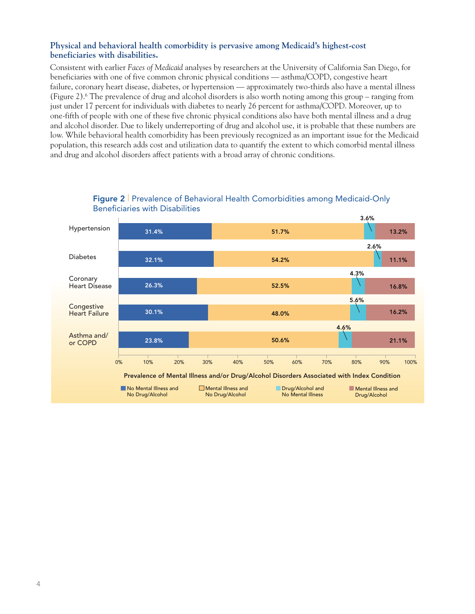## **Physical and behavioral health comorbidity is pervasive among Medicaid's highest-cost beneficiaries with disabilities.**

Consistent with earlier *Faces of Medicaid* analyses by researchers at the University of California San Diego, for beneficiaries with one of five common chronic physical conditions — asthma/COPD, congestive heart failure, coronary heart disease, diabetes, or hypertension — approximately two-thirds also have a mental illness (Figure 2).6 The prevalence of drug and alcohol disorders is also worth noting among this group – ranging from just under 17 percent for individuals with diabetes to nearly 26 percent for asthma/COPD. Moreover, up to one-fifth of people with one of these five chronic physical conditions also have both mental illness and a drug and alcohol disorder. Due to likely underreporting of drug and alcohol use, it is probable that these numbers are low. While behavioral health comorbidity has been previously recognized as an important issue for the Medicaid population, this research adds cost and utilization data to quantify the extent to which comorbid mental illness and drug and alcohol disorders affect patients with a broad array of chronic conditions.



Figure 2 | Prevalence of Behavioral Health Comorbidities among Medicaid-Only Beneficiaries with Disabilities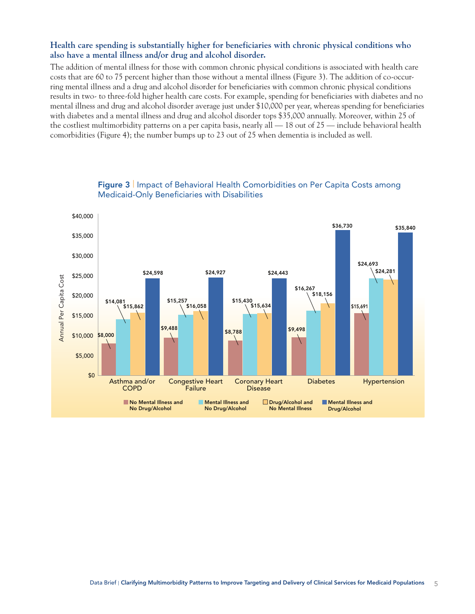## **Health care spending is substantially higher for beneficiaries with chronic physical conditions who also have a mental illness and/or drug and alcohol disorder.**

The addition of mental illness for those with common chronic physical conditions is associated with health care costs that are 60 to 75 percent higher than those without a mental illness (Figure 3). The addition of co-occurring mental illness and a drug and alcohol disorder for beneficiaries with common chronic physical conditions results in two- to three-fold higher health care costs. For example, spending for beneficiaries with diabetes and no mental illness and drug and alcohol disorder average just under \$10,000 per year, whereas spending for beneficiaries with diabetes and a mental illness and drug and alcohol disorder tops \$35,000 annually. Moreover, within 25 of the costliest multimorbidity patterns on a per capita basis, nearly all — 18 out of 25 — include behavioral health comorbidities (Figure 4); the number bumps up to 23 out of 25 when dementia is included as well.



## Figure 3 | Impact of Behavioral Health Comorbidities on Per Capita Costs among Medicaid-Only Beneficiaries with Disabilities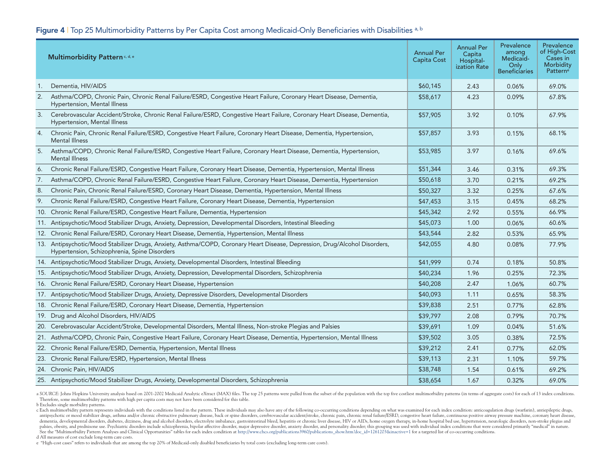#### Figure 4 | Top 25 Multimorbidity Patterns by Per Capita Cost among Medicaid-Only Beneficiaries with Disabilities a, b

| Multimorbidity Pattern c, d, e                                                                                                                                             | <b>Annual Per</b><br><b>Capita Cost</b> | <b>Annual Per</b><br>Capita<br>Hospital-<br>ization Rate | Prevalence<br>among<br>Medicaid-<br>Only<br><b>Beneficiaries</b> | Prevalence<br>of High-Cost<br>Cases in<br>Morbidity<br>Pattern <sup>e</sup> |
|----------------------------------------------------------------------------------------------------------------------------------------------------------------------------|-----------------------------------------|----------------------------------------------------------|------------------------------------------------------------------|-----------------------------------------------------------------------------|
| Dementia, HIV/AIDS<br>1.                                                                                                                                                   | \$60,145                                | 2.43                                                     | 0.06%                                                            | 69.0%                                                                       |
| Asthma/COPD, Chronic Pain, Chronic Renal Failure/ESRD, Congestive Heart Failure, Coronary Heart Disease, Dementia,<br>2.<br>Hypertension, Mental Illness                   | \$58,617                                | 4.23                                                     | 0.09%                                                            | 67.8%                                                                       |
| Cerebrovascular Accident/Stroke, Chronic Renal Failure/ESRD, Congestive Heart Failure, Coronary Heart Disease, Dementia,<br>3.<br>Hypertension, Mental Illness             | \$57,905                                | 3.92                                                     | 0.10%                                                            | 67.9%                                                                       |
| Chronic Pain, Chronic Renal Failure/ESRD, Congestive Heart Failure, Coronary Heart Disease, Dementia, Hypertension,<br>4.<br>Mental Illness                                | \$57,857                                | 3.93                                                     | 0.15%                                                            | 68.1%                                                                       |
| Asthma/COPD, Chronic Renal Failure/ESRD, Congestive Heart Failure, Coronary Heart Disease, Dementia, Hypertension,<br>5.<br><b>Mental Illness</b>                          | \$53,985                                | 3.97                                                     | 0.16%                                                            | 69.6%                                                                       |
| Chronic Renal Failure/ESRD, Congestive Heart Failure, Coronary Heart Disease, Dementia, Hypertension, Mental Illness<br>6.                                                 | \$51,344                                | 3.46                                                     | 0.31%                                                            | 69.3%                                                                       |
| Asthma/COPD, Chronic Renal Failure/ESRD, Congestive Heart Failure, Coronary Heart Disease, Dementia, Hypertension<br>7.                                                    | \$50,618                                | 3.70                                                     | 0.21%                                                            | 69.2%                                                                       |
| 8.<br>Chronic Pain, Chronic Renal Failure/ESRD, Coronary Heart Disease, Dementia, Hypertension, Mental Illness                                                             | \$50,327                                | 3.32                                                     | 0.25%                                                            | 67.6%                                                                       |
| 9.<br>Chronic Renal Failure/ESRD, Congestive Heart Failure, Coronary Heart Disease, Dementia, Hypertension                                                                 | \$47,453                                | 3.15                                                     | 0.45%                                                            | 68.2%                                                                       |
| 10. Chronic Renal Failure/ESRD, Congestive Heart Failure, Dementia, Hypertension                                                                                           | \$45,342                                | 2.92                                                     | 0.55%                                                            | 66.9%                                                                       |
| 11. Antipsychotic/Mood Stabilizer Drugs, Anxiety, Depression, Developmental Disorders, Intestinal Bleeding                                                                 | \$45,073                                | 1.00                                                     | 0.06%                                                            | 60.6%                                                                       |
| 12. Chronic Renal Failure/ESRD, Coronary Heart Disease, Dementia, Hypertension, Mental Illness                                                                             | \$43,544                                | 2.82                                                     | 0.53%                                                            | 65.9%                                                                       |
| 13. Antipsychotic/Mood Stabilizer Drugs, Anxiety, Asthma/COPD, Coronary Heart Disease, Depression, Drug/Alcohol Disorders,<br>Hypertension, Schizophrenia, Spine Disorders | \$42,055                                | 4.80                                                     | 0.08%                                                            | 77.9%                                                                       |
| 14. Antipsychotic/Mood Stabilizer Drugs, Anxiety, Developmental Disorders, Intestinal Bleeding                                                                             | \$41,999                                | 0.74                                                     | 0.18%                                                            | 50.8%                                                                       |
| 15. Antipsychotic/Mood Stabilizer Drugs, Anxiety, Depression, Developmental Disorders, Schizophrenia                                                                       | \$40,234                                | 1.96                                                     | 0.25%                                                            | 72.3%                                                                       |
| 16. Chronic Renal Failure/ESRD, Coronary Heart Disease, Hypertension                                                                                                       | \$40,208                                | 2.47                                                     | 1.06%                                                            | 60.7%                                                                       |
| 17. Antipsychotic/Mood Stabilizer Drugs, Anxiety, Depressive Disorders, Developmental Disorders                                                                            | \$40,093                                | 1.11                                                     | 0.65%                                                            | 58.3%                                                                       |
| 18. Chronic Renal Failure/ESRD, Coronary Heart Disease, Dementia, Hypertension                                                                                             | \$39,838                                | 2.51                                                     | 0.77%                                                            | 62.8%                                                                       |
| 19. Drug and Alcohol Disorders, HIV/AIDS                                                                                                                                   | \$39,797                                | 2.08                                                     | 0.79%                                                            | 70.7%                                                                       |
| 20. Cerebrovascular Accident/Stroke, Developmental Disorders, Mental Illness, Non-stroke Plegias and Palsies                                                               | \$39,691                                | 1.09                                                     | 0.04%                                                            | 51.6%                                                                       |
| 21. Asthma/COPD, Chronic Pain, Congestive Heart Failure, Coronary Heart Disease, Dementia, Hypertension, Mental Illness                                                    | \$39,502                                | 3.05                                                     | 0.38%                                                            | 72.5%                                                                       |
| 22. Chronic Renal Failure/ESRD, Dementia, Hypertension, Mental Illness                                                                                                     | \$39,212                                | 2.41                                                     | 0.77%                                                            | 62.0%                                                                       |
| 23. Chronic Renal Failure/ESRD, Hypertension, Mental Illness                                                                                                               | \$39,113                                | 2.31                                                     | 1.10%                                                            | 59.7%                                                                       |
| 24. Chronic Pain, HIV/AIDS                                                                                                                                                 | \$38,748                                | 1.54                                                     | 0.61%                                                            | 69.2%                                                                       |
| 25. Antipsychotic/Mood Stabilizer Drugs, Anxiety, Developmental Disorders, Schizophrenia                                                                                   | \$38,654                                | 1.67                                                     | 0.32%                                                            | 69.0%                                                                       |

a SOURCE: Johns Hopkins University analysis based on 2001-2002 Medicaid Analytic eXtract (MAX) files. The top 25 patterns were pulled from the subset of the population with the top five costliest multimorbidity patterns of Therefore, some multimorbidity patterns with high per capita costs may not have been considered for this table.

b Excludes single morbidity patterns.

c Each multimorbidity pattern represents individuals with the conditions listed in the pattern. These individuals may also have any of the following co-occurring conditions depending on what was examined for each index con antipsychotic or mood stabilizer drugs, asthma and/or chronic obstructive pulmonary disease, back or spine disorders, cerebrovascular accident/stroke, chronic pain, chronic renal failure/ESRD, congestive heart failure, con dementia, developmental disorders, diabetes, dizziness, drug and alcohol disorders, electrolyte imbalance, gastrointestinal bleed, hepatitis or chronic liver disease, HIV or AIDs, home oxygen therapy, in home hospital bed palsies, obesity, and prednisone use. Psychiatric disorders include schizophrenia, bipolar affective disorder, major depressive disorder, anxiety disorder, anxiety disorder, and personality disorder; this grouping was used See the "Multimorbidity Pattern Analyses and Clinical Opportunities" tables for each index condition at http://www.chcs.org/publications3960/publications\_show.htm?doc\_id=1261203&inactive=1 for a targeted list of co-occurri

d All measures of cost exclude long-term care costs.

e "High-cost cases" refers to individuals that are among the top 20% of Medicaid-only disabled beneficiaries by total costs (excluding long-term care costs).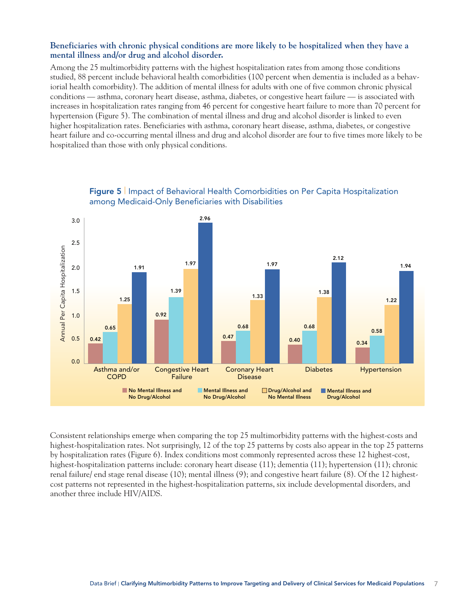## **Beneficiaries with chronic physical conditions are more likely to be hospitalized when they have a mental illness and/or drug and alcohol disorder.**

Among the 25 multimorbidity patterns with the highest hospitalization rates from among those conditions studied, 88 percent include behavioral health comorbidities (100 percent when dementia is included as a behaviorial health comorbidity). The addition of mental illness for adults with one of five common chronic physical conditions — asthma, coronary heart disease, asthma, diabetes, or congestive heart failure — is associated with increases in hospitalization rates ranging from 46 percent for congestive heart failure to more than 70 percent for hypertension (Figure 5). The combination of mental illness and drug and alcohol disorder is linked to even higher hospitalization rates. Beneficiaries with asthma, coronary heart disease, asthma, diabetes, or congestive heart failure and co-occurring mental illness and drug and alcohol disorder are four to five times more likely to be hospitalized than those with only physical conditions.



## Figure 5 | Impact of Behavioral Health Comorbidities on Per Capita Hospitalization among Medicaid-Only Beneficiaries with Disabilities

Consistent relationships emerge when comparing the top 25 multimorbidity patterns with the highest-costs and highest-hospitalization rates. Not surprisingly, 12 of the top 25 patterns by costs also appear in the top 25 patterns by hospitalization rates (Figure 6). Index conditions most commonly represented across these 12 highest-cost, highest-hospitalization patterns include: coronary heart disease (11); dementia (11); hypertension (11); chronic renal failure/ end stage renal disease (10); mental illness (9); and congestive heart failure (8). Of the 12 highestcost patterns not represented in the highest-hospitalization patterns, six include developmental disorders, and another three include HIV/AIDS.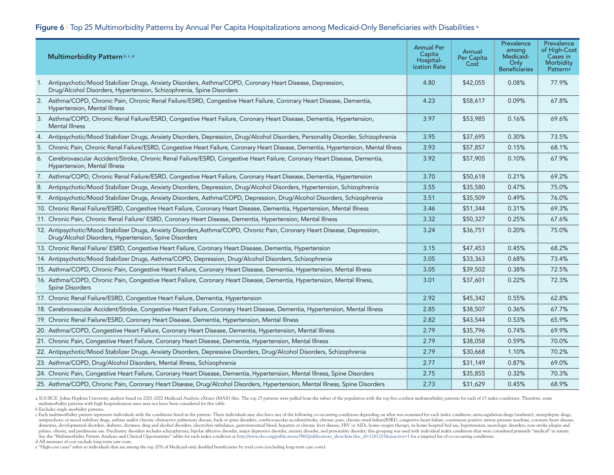#### Figure 6 | Top 25 Multimorbidity Patterns by Annual Per Capita Hospitalizations among Medicaid-Only Beneficiaries with Disabilities <sup>a</sup>

|    | Multimorbidity Pattern b, c, d                                                                                                                                                      | <b>Annual Per</b><br>Capita<br>Hospital-<br>ization Rate | Annual<br>Per Capita<br>Cost | Prevalence<br>among<br>Medicaid-<br>Only<br><b>Beneficiaries</b> | Prevalence<br>of High-Cost<br>Cases in<br>Morbidity<br>Patternd |
|----|-------------------------------------------------------------------------------------------------------------------------------------------------------------------------------------|----------------------------------------------------------|------------------------------|------------------------------------------------------------------|-----------------------------------------------------------------|
|    | 1. Antipsychotic/Mood Stabilizer Drugs, Anxiety Disorders, Asthma/COPD, Coronary Heart Disease, Depression,<br>Drug/Alcohol Disorders, Hypertension, Schizophrenia, Spine Disorders | 4.80                                                     | \$42,055                     | 0.08%                                                            | 77.9%                                                           |
|    | 2. Asthma/COPD, Chronic Pain, Chronic Renal Failure/ESRD, Congestive Heart Failure, Coronary Heart Disease, Dementia,<br>Hypertension, Mental Illness                               | 4.23                                                     | \$58,617                     | 0.09%                                                            | 67.8%                                                           |
|    | 3. Asthma/COPD, Chronic Renal Failure/ESRD, Congestive Heart Failure, Coronary Heart Disease, Dementia, Hypertension,<br><b>Mental Illness</b>                                      | 3.97                                                     | \$53,985                     | 0.16%                                                            | 69.6%                                                           |
| 4. | Antipsychotic/Mood Stabilizer Drugs, Anxiety Disorders, Depression, Drug/Alcohol Disorders, Personality Disorder, Schizophrenia                                                     | 3.95                                                     | \$37,695                     | 0.30%                                                            | 73.5%                                                           |
| 5. | Chronic Pain, Chronic Renal Failure/ESRD, Congestive Heart Failure, Coronary Heart Disease, Dementia, Hypertension, Mental Illness                                                  | 3.93                                                     | \$57,857                     | 0.15%                                                            | 68.1%                                                           |
| 6. | Cerebrovascular Accident/Stroke, Chronic Renal Failure/ESRD, Congestive Heart Failure, Coronary Heart Disease, Dementia,<br><b>Hypertension, Mental Illness</b>                     | 3.92                                                     | \$57,905                     | 0.10%                                                            | 67.9%                                                           |
|    | 7. Asthma/COPD, Chronic Renal Failure/ESRD, Congestive Heart Failure, Coronary Heart Disease, Dementia, Hypertension                                                                | 3.70                                                     | \$50,618                     | 0.21%                                                            | 69.2%                                                           |
| 8. | Antipsychotic/Mood Stabilizer Drugs, Anxiety Disorders, Depression, Drug/Alcohol Disorders, Hypertension, Schizophrenia                                                             | 3.55                                                     | \$35,580                     | 0.47%                                                            | 75.0%                                                           |
|    | 9. Antipsychotic/Mood Stabilizer Drugs, Anxiety Disorders, Asthma/COPD, Depression, Drug/Alcohol Disorders, Schizophrenia                                                           | 3.51                                                     | \$35,509                     | 0.49%                                                            | 76.0%                                                           |
|    | 10. Chronic Renal Failure/ESRD, Congestive Heart Failure, Coronary Heart Disease, Dementia, Hypertension, Mental Illness                                                            | 3.46                                                     | \$51,344                     | 0.31%                                                            | 69.3%                                                           |
|    | 11. Chronic Pain, Chronic Renal Failure/ ESRD, Coronary Heart Disease, Dementia, Hypertension, Mental Illness                                                                       | 3.32                                                     | \$50,327                     | 0.25%                                                            | 67.6%                                                           |
|    | 12. Antipsychotic/Mood Stabilizer Drugs, Anxiety Disorders, Asthma/COPD, Chronic Pain, Coronary Heart Disease, Depression,<br>Drug/Alcohol Disorders, Hypertension, Spine Disorders | 3.24                                                     | \$36,751                     | 0.20%                                                            | 75.0%                                                           |
|    | 13. Chronic Renal Failure/ ESRD, Congestive Heart Failure, Coronary Heart Disease, Dementia, Hypertension                                                                           | 3.15                                                     | \$47,453                     | 0.45%                                                            | 68.2%                                                           |
|    | 14. Antipsychotic/Mood Stabilizer Drugs, Asthma/COPD, Depression, Drug/Alcohol Disorders, Schizophrenia                                                                             | 3.05                                                     | \$33,363                     | 0.68%                                                            | 73.4%                                                           |
|    | 15. Asthma/COPD, Chronic Pain, Congestive Heart Failure, Coronary Heart Disease, Dementia, Hypertension, Mental Illness                                                             | 3.05                                                     | \$39,502                     | 0.38%                                                            | 72.5%                                                           |
|    | 16. Asthma/COPD, Chronic Pain, Congestive Heart Failure, Coronary Heart Disease, Dementia, Hypertension, Mental Illness,<br><b>Spine Disorders</b>                                  | 3.01                                                     | \$37,601                     | 0.22%                                                            | 72.3%                                                           |
|    | 17. Chronic Renal Failure/ESRD, Congestive Heart Failure, Dementia, Hypertension                                                                                                    | 2.92                                                     | \$45,342                     | 0.55%                                                            | 62.8%                                                           |
|    | 18. Cerebrovascular Accident/Stroke, Congestive Heart Failure, Coronary Heart Disease, Dementia, Hypertension, Mental Illness                                                       | 2.85                                                     | \$38,507                     | 0.36%                                                            | 67.7%                                                           |
|    | 19. Chronic Renal Failure/ESRD, Coronary Heart Disease, Dementia, Hypertension, Mental Illness                                                                                      | 2.82                                                     | \$43,544                     | 0.53%                                                            | 65.9%                                                           |
|    | 20. Asthma/COPD, Congestive Heart Failure, Coronary Heart Disease, Dementia, Hypertension, Mental Illness                                                                           | 2.79                                                     | \$35,796                     | 0.74%                                                            | 69.9%                                                           |
|    | 21. Chronic Pain, Congestive Heart Failure, Coronary Heart Disease, Dementia, Hypertension, Mental Illness                                                                          | 2.79                                                     | \$38,058                     | 0.59%                                                            | 70.0%                                                           |
|    | 22. Antipsychotic/Mood Stabilizer Drugs, Anxiety Disorders, Depressive Disorders, Drug/Alcohol Disorders, Schizophrenia                                                             | 2.79                                                     | \$30,668                     | 1.10%                                                            | 70.2%                                                           |
|    | 23. Asthma/COPD, Drug/Alcohol Disorders, Mental Illness, Schizophrenia                                                                                                              | 2.77                                                     | \$31,149                     | 0.87%                                                            | 69.0%                                                           |
|    | 24. Chronic Pain, Congestive Heart Failure, Coronary Heart Disease, Dementia, Hypertension, Mental Illness, Spine Disorders                                                         | 2.75                                                     | \$35,855                     | 0.32%                                                            | 70.3%                                                           |
|    | 25. Asthma/COPD, Chronic Pain, Coronary Heart Disease, Drug/Alcohol Disorders, Hypertension, Mental Illness, Spine Disorders                                                        | 2.73                                                     | \$31,629                     | 0.45%                                                            | 68.9%                                                           |

a SOURCE: Johns Hopkins University analysis based on 2001-2002 Medicaid Analytic eXtract (MAX) files. The top 25 patterns were pulled from the subset of the population with the top five costliest multimorbidity patterns fo multimorbidity patterns with high hospitalization rates may not have been considered for this table.

b Excludes single morbidity patterns.

c Each multimorbidity pattern represents individuals with the conditions listed in the pattern. These individuals may also have any of the following co-occurring conditions depending on what was examined for each index con antipsychotic or mood stabilizer drugs, asthma and/or chronic obstructive pulmonary disease, back or spine disorders, cerebrovascular accident/stroke, chronic pain, chronic renal failure/ESRD, congestive heart failure, con dementia, developmental disorders, diabetes, dizziness, drug and alcohol disorders, electrolyte imbalance, gastrointestinal bleed, hepatitis or chronic liver disease, HIV or AIDs, home oxygen therapy, in-home hospital bed palsies, obesity, and prednisone use. Psychiatric disorders includes schizophrenia, bipolar affective disorder, major depressive disorder, anxiety disorder, and personality disorder; this grouping was used with individual .<br>See the "Multimorbidity Pattern Analyses and Clinical Opportunities" tables for each index condition at http://www.chcs.org/publications.3960/publications\_show.htm?doc\_id=1261203&inactive=1 for a targeted list of co-occu d All measures of cost exclude long-term care costs.

e "High-cost cases" refers to individuals that are among the top 20% of Medicaid-only disabled beneficiaries by total costs (excluding long-term care costs).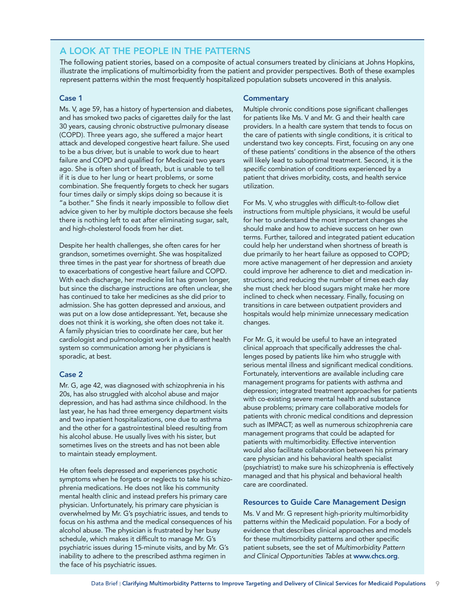## A LOOK AT THE PEOPLE IN THE PATTERNS

The following patient stories, based on a composite of actual consumers treated by clinicians at Johns Hopkins, illustrate the implications of multimorbidity from the patient and provider perspectives. Both of these examples represent patterns within the most frequently hospitalized population subsets uncovered in this analysis.

#### Case 1

Ms. V, age 59, has a history of hypertension and diabetes, and has smoked two packs of cigarettes daily for the last 30 years, causing chronic obstructive pulmonary disease (COPD). Three years ago, she suffered a major heart attack and developed congestive heart failure. She used to be a bus driver, but is unable to work due to heart failure and COPD and qualified for Medicaid two years ago. She is often short of breath, but is unable to tell if it is due to her lung or heart problems, or some combination. She frequently forgets to check her sugars four times daily or simply skips doing so because it is "a bother." She finds it nearly impossible to follow diet advice given to her by multiple doctors because she feels there is nothing left to eat after eliminating sugar, salt, and high-cholesterol foods from her diet.

Despite her health challenges, she often cares for her grandson, sometimes overnight. She was hospitalized three times in the past year for shortness of breath due to exacerbations of congestive heart failure and COPD. With each discharge, her medicine list has grown longer, but since the discharge instructions are often unclear, she has continued to take her medicines as she did prior to admission. She has gotten depressed and anxious, and was put on a low dose antidepressant. Yet, because she does not think it is working, she often does not take it. A family physician tries to coordinate her care, but her cardiologist and pulmonologist work in a different health system so communication among her physicians is sporadic, at best.

#### Case 2

Mr. G, age 42, was diagnosed with schizophrenia in his 20s, has also struggled with alcohol abuse and major depression, and has had asthma since childhood. In the last year, he has had three emergency department visits and two inpatient hospitalizations, one due to asthma and the other for a gastrointestinal bleed resulting from his alcohol abuse. He usually lives with his sister, but sometimes lives on the streets and has not been able to maintain steady employment.

He often feels depressed and experiences psychotic symptoms when he forgets or neglects to take his schizophrenia medications. He does not like his community mental health clinic and instead prefers his primary care physician. Unfortunately, his primary care physician is overwhelmed by Mr. G's psychiatric issues, and tends to focus on his asthma and the medical consequences of his alcohol abuse. The physician is frustrated by her busy schedule, which makes it difficult to manage Mr. G's psychiatric issues during 15-minute visits, and by Mr. G's inability to adhere to the prescribed asthma regimen in the face of his psychiatric issues.

#### **Commentary**

Multiple chronic conditions pose significant challenges for patients like Ms. V and Mr. G and their health care providers. In a health care system that tends to focus on the care of patients with single conditions, it is critical to understand two key concepts. First, focusing on any one of these patients' conditions in the absence of the others will likely lead to suboptimal treatment. Second, it is the specific combination of conditions experienced by a patient that drives morbidity, costs, and health service utilization.

For Ms. V, who struggles with difficult-to-follow diet instructions from multiple physicians, it would be useful for her to understand the most important changes she should make and how to achieve success on her own terms. Further, tailored and integrated patient education could help her understand when shortness of breath is due primarily to her heart failure as opposed to COPD; more active management of her depression and anxiety could improve her adherence to diet and medication instructions; and reducing the number of times each day she must check her blood sugars might make her more inclined to check when necessary. Finally, focusing on transitions in care between outpatient providers and hospitals would help minimize unnecessary medication changes.

For Mr. G, it would be useful to have an integrated clinical approach that specifically addresses the challenges posed by patients like him who struggle with serious mental illness and significant medical conditions. Fortunately, interventions are available including care management programs for patients with asthma and depression; integrated treatment approaches for patients with co-existing severe mental health and substance abuse problems; primary care collaborative models for patients with chronic medical conditions and depression such as IMPACT; as well as numerous schizophrenia care management programs that could be adapted for patients with multimorbidity. Effective intervention would also facilitate collaboration between his primary care physician and his behavioral health specialist (psychiatrist) to make sure his schizophrenia is effectively managed and that his physical and behavioral health care are coordinated.

#### Resources to Guide Care Management Design

Ms. V and Mr. G represent high-priority multimorbidity patterns within the Medicaid population. For a body of evidence that describes clinical approaches and models for these multimorbidity patterns and other specific patient subsets, see the set of Multimorbidity Pattern and Clinical Opportunities Tables at www.chcs.org.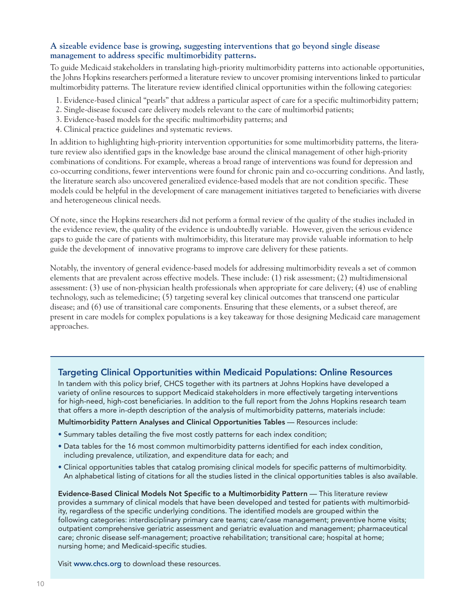## **A sizeable evidence base is growing, suggesting interventions that go beyond single disease management to address specific multimorbidity patterns.**

To guide Medicaid stakeholders in translating high-priority multimorbidity patterns into actionable opportunities, the Johns Hopkins researchers performed a literature review to uncover promising interventions linked to particular multimorbidity patterns. The literature review identified clinical opportunities within the following categories:

- 1. Evidence-based clinical "pearls" that address a particular aspect of care for a specific multimorbidity pattern;
- 2. Single-disease focused care delivery models relevant to the care of multimorbid patients;
- 3. Evidence-based models for the specific multimorbidity patterns; and
- 4. Clinical practice guidelines and systematic reviews.

In addition to highlighting high-priority intervention opportunities for some multimorbidity patterns, the literature review also identified gaps in the knowledge base around the clinical management of other high-priority combinations of conditions. For example, whereas a broad range of interventions was found for depression and co-occurring conditions, fewer interventions were found for chronic pain and co-occurring conditions. And lastly, the literature search also uncovered generalized evidence-based models that are not condition specific. These models could be helpful in the development of care management initiatives targeted to beneficiaries with diverse and heterogeneous clinical needs.

Of note, since the Hopkins researchers did not perform a formal review of the quality of the studies included in the evidence review, the quality of the evidence is undoubtedly variable. However, given the serious evidence gaps to guide the care of patients with multimorbidity, this literature may provide valuable information to help guide the development of innovative programs to improve care delivery for these patients.

Notably, the inventory of general evidence-based models for addressing multimorbidity reveals a set of common elements that are prevalent across effective models. These include: (1) risk assessment; (2) multidimensional assessment: (3) use of non-physician health professionals when appropriate for care delivery; (4) use of enabling technology, such as telemedicine; (5) targeting several key clinical outcomes that transcend one particular disease; and (6) use of transitional care components. Ensuring that these elements, or a subset thereof, are present in care models for complex populations is a key takeaway for those designing Medicaid care management approaches.

## Targeting Clinical Opportunities within Medicaid Populations: Online Resources

In tandem with this policy brief, CHCS together with its partners at Johns Hopkins have developed a variety of online resources to support Medicaid stakeholders in more effectively targeting interventions for high-need, high-cost beneficiaries. In addition to the full report from the Johns Hopkins research team that offers a more in-depth description of the analysis of multimorbidity patterns, materials include:

Multimorbidity Pattern Analyses and Clinical Opportunities Tables — Resources include:

- Summary tables detailing the five most costly patterns for each index condition;
- Data tables for the 16 most common multimorbidity patterns identified for each index condition, including prevalence, utilization, and expenditure data for each; and
- Clinical opportunities tables that catalog promising clinical models for specific patterns of multimorbidity. An alphabetical listing of citations for all the studies listed in the clinical opportunities tables is also available.

Evidence-Based Clinical Models Not Specific to a Multimorbidity Pattern — This literature review provides a summary of clinical models that have been developed and tested for patients with multimorbidity, regardless of the specific underlying conditions. The identified models are grouped within the following categories: interdisciplinary primary care teams; care/case management; preventive home visits; outpatient comprehensive geriatric assessment and geriatric evaluation and management; pharmaceutical care; chronic disease self-management; proactive rehabilitation; transitional care; hospital at home; nursing home; and Medicaid-specific studies.

Visit www.chcs.org to download these resources.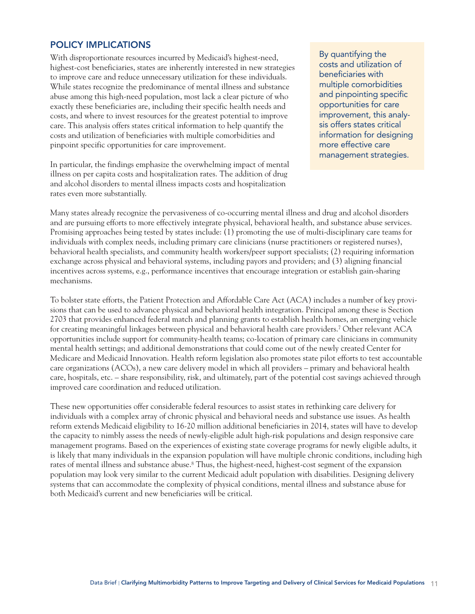## POLICY IMPLICATIONS

With disproportionate resources incurred by Medicaid's highest-need, highest-cost beneficiaries, states are inherently interested in new strategies to improve care and reduce unnecessary utilization for these individuals. While states recognize the predominance of mental illness and substance abuse among this high-need population, most lack a clear picture of who exactly these beneficiaries are, including their specific health needs and costs, and where to invest resources for the greatest potential to improve care. This analysis offers states critical information to help quantify the costs and utilization of beneficiaries with multiple comorbidities and pinpoint specific opportunities for care improvement.

In particular, the findings emphasize the overwhelming impact of mental illness on per capita costs and hospitalization rates. The addition of drug and alcohol disorders to mental illness impacts costs and hospitalization rates even more substantially.

By quantifying the costs and utilization of beneficiaries with multiple comorbidities and pinpointing specific opportunities for care improvement, this analysis offers states critical information for designing more effective care management strategies.

Many states already recognize the pervasiveness of co-occurring mental illness and drug and alcohol disorders and are pursuing efforts to more effectively integrate physical, behavioral health, and substance abuse services. Promising approaches being tested by states include: (1) promoting the use of multi-disciplinary care teams for individuals with complex needs, including primary care clinicians (nurse practitioners or registered nurses), behavioral health specialists, and community health workers/peer support specialists; (2) requiring information exchange across physical and behavioral systems, including payors and providers; and (3) aligning financial incentives across systems, e.g., performance incentives that encourage integration or establish gain-sharing mechanisms.

To bolster state efforts, the Patient Protection and Affordable Care Act (ACA) includes a number of key provisions that can be used to advance physical and behavioral health integration. Principal among these is Section 2703 that provides enhanced federal match and planning grants to establish health homes, an emerging vehicle for creating meaningful linkages between physical and behavioral health care providers.7 Other relevant ACA opportunities include support for community-health teams; co-location of primary care clinicians in community mental health settings; and additional demonstrations that could come out of the newly created Center for Medicare and Medicaid Innovation. Health reform legislation also promotes state pilot efforts to test accountable care organizations (ACOs), a new care delivery model in which all providers – primary and behavioral health care, hospitals, etc. – share responsibility, risk, and ultimately, part of the potential cost savings achieved through improved care coordination and reduced utilization.

These new opportunities offer considerable federal resources to assist states in rethinking care delivery for individuals with a complex array of chronic physical and behavioral needs and substance use issues. As health reform extends Medicaid eligibility to 16-20 million additional beneficiaries in 2014, states will have to develop the capacity to nimbly assess the needs of newly-eligible adult high-risk populations and design responsive care management programs. Based on the experiences of existing state coverage programs for newly eligible adults, it is likely that many individuals in the expansion population will have multiple chronic conditions, including high rates of mental illness and substance abuse.<sup>8</sup> Thus, the highest-need, highest-cost segment of the expansion population may look very similar to the current Medicaid adult population with disabilities. Designing delivery systems that can accommodate the complexity of physical conditions, mental illness and substance abuse for both Medicaid's current and new beneficiaries will be critical.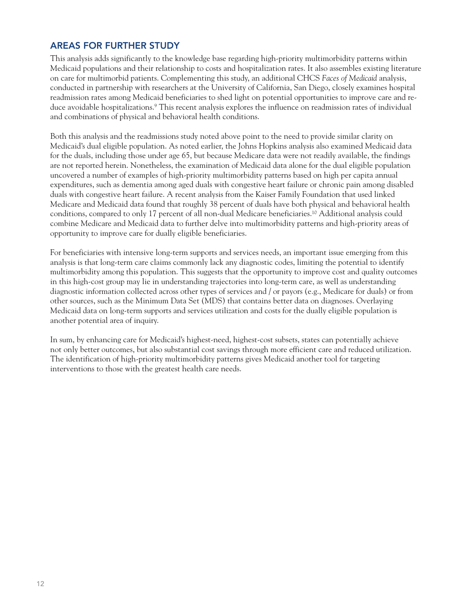## AREAS FOR FURTHER STUDY

This analysis adds significantly to the knowledge base regarding high-priority multimorbidity patterns within Medicaid populations and their relationship to costs and hospitalization rates. It also assembles existing literature on care for multimorbid patients. Complementing this study, an additional CHCS *Faces of Medicaid* analysis, conducted in partnership with researchers at the University of California, San Diego, closely examines hospital readmission rates among Medicaid beneficiaries to shed light on potential opportunities to improve care and reduce avoidable hospitalizations.<sup>9</sup> This recent analysis explores the influence on readmission rates of individual and combinations of physical and behavioral health conditions.

Both this analysis and the readmissions study noted above point to the need to provide similar clarity on Medicaid's dual eligible population. As noted earlier, the Johns Hopkins analysis also examined Medicaid data for the duals, including those under age 65, but because Medicare data were not readily available, the findings are not reported herein. Nonetheless, the examination of Medicaid data alone for the dual eligible population uncovered a number of examples of high-priority multimorbidity patterns based on high per capita annual expenditures, such as dementia among aged duals with congestive heart failure or chronic pain among disabled duals with congestive heart failure. A recent analysis from the Kaiser Family Foundation that used linked Medicare and Medicaid data found that roughly 38 percent of duals have both physical and behavioral health conditions, compared to only 17 percent of all non-dual Medicare beneficiaries.10 Additional analysis could combine Medicare and Medicaid data to further delve into multimorbidity patterns and high-priority areas of opportunity to improve care for dually eligible beneficiaries.

For beneficiaries with intensive long-term supports and services needs, an important issue emerging from this analysis is that long-term care claims commonly lack any diagnostic codes, limiting the potential to identify multimorbidity among this population. This suggests that the opportunity to improve cost and quality outcomes in this high-cost group may lie in understanding trajectories into long-term care, as well as understanding diagnostic information collected across other types of services and / or payors (e.g., Medicare for duals) or from other sources, such as the Minimum Data Set (MDS) that contains better data on diagnoses. Overlaying Medicaid data on long-term supports and services utilization and costs for the dually eligible population is another potential area of inquiry.

In sum, by enhancing care for Medicaid's highest-need, highest-cost subsets, states can potentially achieve not only better outcomes, but also substantial cost savings through more efficient care and reduced utilization. The identification of high-priority multimorbidity patterns gives Medicaid another tool for targeting interventions to those with the greatest health care needs.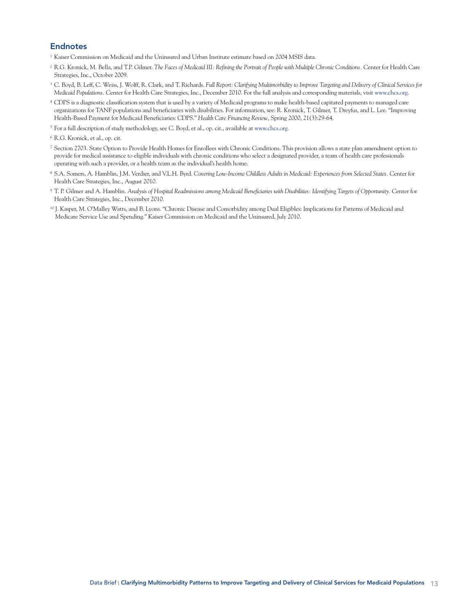## Endnotes

1 Kaiser Commission on Medicaid and the Uninsured and Urban Institute estimate based on 2004 MSIS data.

- 2 R.G. Kronick, M. Bella, and T.P. Gilmer. *The Faces of Medicaid III: Refining the Portrait of People with Multiple Chronic Conditions.* Center for Health Care Strategies, Inc., October 2009.
- 3 C. Boyd, B. Leff, C. Weiss, J. Wolff, R. Clark, and T. Richards. *Full Report: Clarifying Multimorbidity to Improve Targeting and Delivery of Clinical Services for Medicaid Populations.* Center for Health Care Strategies, Inc., December 2010. For the full analysis and corresponding materials, visit www.chcs.org.
- 4 CDPS is a diagnostic classification system that is used by a variety of Medicaid programs to make health-based capitated payments to managed care organizations for TANF populations and beneficiaries with disabilities. For information, see: R. Kronick, T. Gilmer, T. Dreyfus, and L. Lee. "Improving Health-Based Payment for Medicaid Beneficiaries: CDPS." *Health Care Financing Review,* Spring 2000, 21(3):29-64.
- <sup>5</sup> For a full description of study methodology, see C. Boyd, et al., op. cit., available at www.chcs.org.

- 7 Section 2703. State Option to Provide Health Homes for Enrollees with Chronic Conditions. This provision allows a state plan amendment option to provide for medical assistance to eligible individuals with chronic conditions who select a designated provider, a team of health care professionals operating with such a provider, or a health team as the individual's health home.
- 8 S.A. Somers, A. Hamblin, J.M. Verdier, and V.L.H. Byrd. *Covering Low-Income Childless Adults in Medicaid: Experiences from Selected States.* Center for Health Care Strategies, Inc., August 2010.
- 9 T. P. Gilmer and A. Hamblin. *Analysis of Hospital Readmissions among Medicaid Beneficiaries with Disabilities: Identifying Targets of Opportunity.* Center for Health Care Strategies, Inc., December 2010.
- <sup>10</sup> J. Kasper, M. O'Malley Watts, and B. Lyons. "Chronic Disease and Comorbidity among Dual Eligibles: Implications for Patterns of Medicaid and Medicare Service Use and Spending." Kaiser Commission on Medicaid and the Uninsured, July 2010.

<sup>6</sup> R.G. Kronick, et al., op. cit.